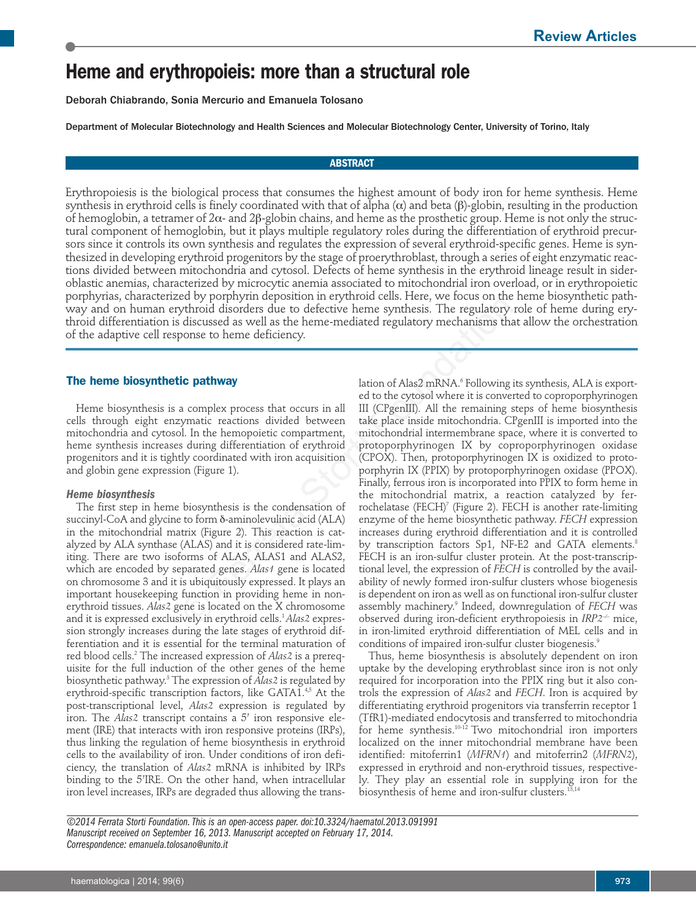# **Heme and erythropoieis: more than a structural role**

Deborah Chiabrando, Sonia Mercurio and Emanuela Tolosano

Department of Molecular Biotechnology and Health Sciences and Molecular Biotechnology Center, University of Torino, Italy

# **ABSTRACT**

Erythropoiesis is the biological process that consumes the highest amount of body iron for heme synthesis. Heme synthesis in erythroid cells is finely coordinated with that of alpha  $(\alpha)$  and beta  $(\beta)$ -globin, resulting in the production of hemoglobin, a tetramer of 2α- and 2b-globin chains, and heme as the prosthetic group. Heme is not only the structural component of hemoglobin, but it plays multiple regulatory roles during the differentiation of erythroid precursors since it controls its own synthesis and regulates the expression of several erythroid-specific genes. Heme is synthesized in developing erythroid progenitors by the stage of proerythroblast, through a series of eight enzymatic reactions divided between mitochondria and cytosol. Defects of heme synthesis in the erythroid lineage result in sideroblastic anemias, characterized by microcytic anemia associated to mitochondrial iron overload, or in erythropoietic porphyrias, characterized by porphyrin deposition in erythroid cells. Here, we focus on the heme biosynthetic pathway and on human erythroid disorders due to defective heme synthesis. The regulatory role of heme during erythroid differentiation is discussed as well as the heme-mediated regulatory mechanisms that allow the orchestration of the adaptive cell response to heme deficiency.

# **The heme biosynthetic pathway**

Heme biosynthesis is a complex process that occurs in all cells through eight enzymatic reactions divided between mitochondria and cytosol. In the hemopoietic compartment, heme synthesis increases during differentiation of erythroid progenitors and it is tightly coordinated with iron acquisition and globin gene expression (Figure 1).

# *Heme biosynthesis*

The first step in heme biosynthesis is the condensation of succinyl-CoA and glycine to form δ-aminolevulinic acid (ALA) in the mitochondrial matrix (Figure 2). This reaction is catalyzed by ALA synthase (ALAS) and it is considered rate-limiting. There are two isoforms of ALAS, ALAS1 and ALAS2, which are encoded by separated genes. *Alas1* gene is located on chromosome 3 and it is ubiquitously expressed. It plays an important housekeeping function in providing heme in nonerythroid tissues. *Alas2* gene is located on the X chromosome and it is expressed exclusively in erythroid cells.1 *Alas2* expression strongly increases during the late stages of erythroid differentiation and it is essential for the terminal maturation of red blood cells.2 The increased expression of *Alas2* is a prerequisite for the full induction of the other genes of the heme biosynthetic pathway.3 The expression of *Alas2* is regulated by erythroid-specific transcription factors, like GATA1.4,5 At the post-transcriptional level, *Alas2* expression is regulated by iron. The *Alas2* transcript contains a 5' iron responsive element (IRE) that interacts with iron responsive proteins (IRPs), thus linking the regulation of heme biosynthesis in erythroid cells to the availability of iron. Under conditions of iron deficiency, the translation of *Alas2* mRNA is inhibited by IRPs binding to the 5'IRE. On the other hand, when intracellular iron level increases, IRPs are degraded thus allowing the trans-

lation of Alas2 mRNA.<sup>6</sup> Following its synthesis, ALA is exported to the cytosol where it is converted to coproporphyrinogen III (CPgenIII). All the remaining steps of heme biosynthesis take place inside mitochondria. CPgenIII is imported into the mitochondrial intermembrane space, where it is converted to protoporphyrinogen IX by coproporphyrinogen oxidase (CPOX). Then, protoporphyrinogen IX is oxidized to protoporphyrin IX (PPIX) by protoporphyrinogen oxidase (PPOX). Finally, ferrous iron is incorporated into PPIX to form heme in the mitochondrial matrix, a reaction catalyzed by ferrochelatase (FECH)<sup>7</sup> (Figure 2). FECH is another rate-limiting enzyme of the heme biosynthetic pathway. *FECH* expression increases during erythroid differentiation and it is controlled by transcription factors Sp1, NF-E2 and GATA elements.<sup>8</sup> FECH is an iron-sulfur cluster protein. At the post-transcriptional level, the expression of *FECH* is controlled by the availability of newly formed iron-sulfur clusters whose biogenesis is dependent on iron as well as on functional iron-sulfur cluster assembly machinery.9 Indeed, downregulation of *FECH* was observed during iron-deficient erythropoiesis in *IRP2–/–* mice, in iron-limited erythroid differentiation of MEL cells and in conditions of impaired iron-sulfur cluster biogenesis.<sup>9</sup> Example the solution in typinour curso. In the spendal of the symphomic disorders due to defective heme synthesis. The regulatory discussed as well as the heme-mediated regulatory mechanisms than the property of the synth

> Thus, heme biosynthesis is absolutely dependent on iron uptake by the developing erythroblast since iron is not only required for incorporation into the PPIX ring but it also controls the expression of *Alas2* and *FECH*. Iron is acquired by differentiating erythroid progenitors via transferrin receptor 1 (TfR1)-mediated endocytosis and transferred to mitochondria for heme synthesis.10-12 Two mitochondrial iron importers localized on the inner mitochondrial membrane have been identified: mitoferrin1 (*MFRN1*) and mitoferrin2 (*MFRN2*), expressed in erythroid and non-erythroid tissues, respectively. They play an essential role in supplying iron for the biosynthesis of heme and iron-sulfur clusters.<sup>13,14</sup>

*©2014 Ferrata Storti Foundation. This is an open-access paper. doi:10.3324/haematol.2013.091991 Manuscript received on September 16, 2013. Manuscript accepted on February 17, 2014. Correspondence: emanuela.tolosano@unito.it*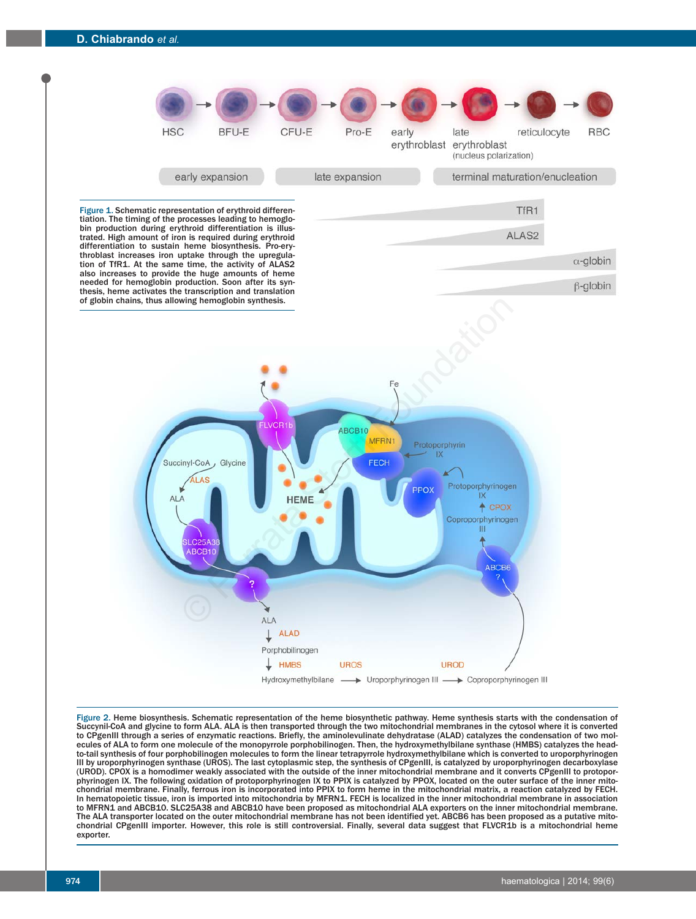

Figure 2. Heme biosynthesis. Schematic representation of the heme biosynthetic pathway. Heme synthesis starts with the condensation of Succynil-CoA and glycine to form ALA. ALA is then transported through the two mitochondrial membranes in the cytosol where it is converted to CPgenIII through a series of enzymatic reactions. Briefly, the aminolevulinate dehydratase (ALAD) catalyzes the condensation of two molecules of ALA to form one molecule of the monopyrrole porphobilinogen. Then, the hydroxymethylbilane synthase (HMBS) catalyzes the headto-tail synthesis of four porphobilinogen molecules to form the linear tetrapyrrole hydroxymethylbilane which is converted to uroporphyrinogen III by uroporphyrinogen synthase (UROS). The last cytoplasmic step, the synthesis of CPgenIII, is catalyzed by uroporphyrinogen decarboxylase (UROD). CPOX is a homodimer weakly associated with the outside of the inner mitochondrial membrane and it converts CPgenIII to protoporphyrinogen IX. The following oxidation of protoporphyrinogen IX to PPIX is catalyzed by PPOX, located on the outer surface of the inner mitochondrial membrane. Finally, ferrous iron is incorporated into PPIX to form heme in the mitochondrial matrix, a reaction catalyzed by FECH. In hematopoietic tissue, iron is imported into mitochondria by MFRN1. FECH is localized in the inner mitochondrial membrane in association to MFRN1 and ABCB10. SLC25A38 and ABCB10 have been proposed as mitochondrial ALA exporters on the inner mitochondrial membrane. The ALA transporter located on the outer mitochondrial membrane has not been identified yet. ABCB6 has been proposed as a putative mitochondrial CPgenIII importer. However, this role is still controversial. Finally, several data suggest that FLVCR1b is a mitochondrial heme exporter.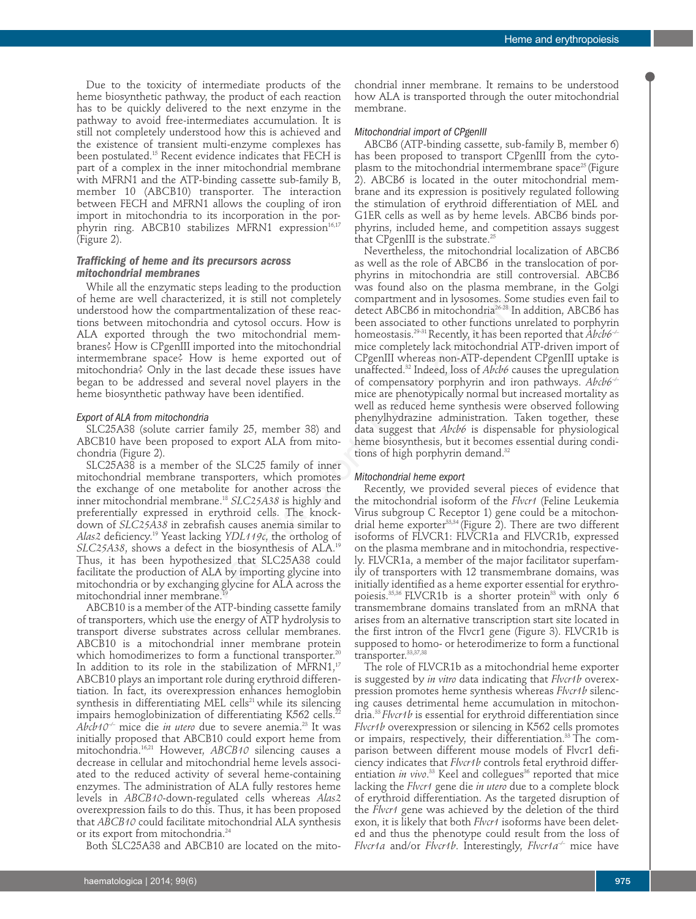Due to the toxicity of intermediate products of the heme biosynthetic pathway, the product of each reaction has to be quickly delivered to the next enzyme in the pathway to avoid free-intermediates accumulation. It is still not completely understood how this is achieved and the existence of transient multi-enzyme complexes has been postulated.15 Recent evidence indicates that FECH is part of a complex in the inner mitochondrial membrane with MFRN1 and the ATP-binding cassette sub-family B, member 10 (ABCB10) transporter. The interaction between FECH and MFRN1 allows the coupling of iron import in mitochondria to its incorporation in the porphyrin ring. ABCB10 stabilizes MFRN1 expression<sup>16,17</sup> (Figure 2).

# *Trafficking of heme and its precursors across mitochondrial membranes*

While all the enzymatic steps leading to the production of heme are well characterized, it is still not completely understood how the compartmentalization of these reactions between mitochondria and cytosol occurs. How is ALA exported through the two mitochondrial membranes? How is CPgenIII imported into the mitochondrial intermembrane space? How is heme exported out of mitochondria? Only in the last decade these issues have began to be addressed and several novel players in the heme biosynthetic pathway have been identified.

#### *Export of ALA from mitochondria*

SLC25A38 (solute carrier family 25, member 38) and ABCB10 have been proposed to export ALA from mitochondria (Figure 2).

SLC25A38 is a member of the SLC25 family of inner mitochondrial membrane transporters, which promotes the exchange of one metabolite for another across the inner mitochondrial membrane.18 *SLC25A38* is highly and preferentially expressed in erythroid cells. The knockdown of *SLC25A38* in zebrafish causes anemia similar to *Alas2* deficiency.19 Yeast lacking *YDL119c*, the ortholog of *SLC25A38*, shows a defect in the biosynthesis of ALA.19 Thus, it has been hypothesized that SLC25A38 could facilitate the production of ALA by importing glycine into mitochondria or by exchanging glycine for ALA across the mitochondrial inner membrane.

ABCB10 is a member of the ATP-binding cassette family of transporters, which use the energy of ATP hydrolysis to transport diverse substrates across cellular membranes. ABCB10 is a mitochondrial inner membrane protein which homodimerizes to form a functional transporter.<sup>2</sup> In addition to its role in the stabilization of MFRN1,<sup>17</sup> ABCB10 plays an important role during erythroid differentiation. In fact, its overexpression enhances hemoglobin synthesis in differentiating MEL cells<sup>21</sup> while its silencing impairs hemoglobinization of differentiating K562 cells.<sup>2</sup> *Abcb10–/–* mice die *in utero* due to severe anemia.23 It was initially proposed that ABCB10 could export heme from mitochondria.16,21 However, *ABCB10* silencing causes a decrease in cellular and mitochondrial heme levels associated to the reduced activity of several heme-containing enzymes. The administration of ALA fully restores heme levels in *ABCB10*-down-regulated cells whereas *Alas2* overexpression fails to do this. Thus, it has been proposed that *ABCB10* could facilitate mitochondrial ALA synthesis or its export from mitochondria.<sup>24</sup>

Both SLC25A38 and ABCB10 are located on the mito-

haematologica | 2014; 99(6) 975

chondrial inner membrane. It remains to be understood how ALA is transported through the outer mitochondrial membrane.

# *Mitochondrial import of CPgenIII*

ABCB6 (ATP-binding cassette, sub-family B, member 6) has been proposed to transport CPgenIII from the cytoplasm to the mitochondrial intermembrane space<sup>25</sup> (Figure 2). ABCB6 is located in the outer mitochondrial membrane and its expression is positively regulated following the stimulation of erythroid differentiation of MEL and G1ER cells as well as by heme levels. ABCB6 binds porphyrins, included heme, and competition assays suggest that CPgenIII is the substrate.<sup>25</sup>

Nevertheless, the mitochondrial localization of ABCB6 as well as the role of ABCB6 in the translocation of porphyrins in mitochondria are still controversial. ABCB6 was found also on the plasma membrane, in the Golgi compartment and in lysosomes. Some studies even fail to detect ABCB6 in mitochondria<sup>26-28</sup> In addition, ABCB6 has been associated to other functions unrelated to porphyrin homeostasis.29-31 Recently, it has been reported that *Abcb6–/–* mice completely lack mitochondrial ATP-driven import of CPgenIII whereas non-ATP-dependent CPgenIII uptake is unaffected.32 Indeed, loss of *Abcb6* causes the upregulation of compensatory porphyrin and iron pathways. *Abcb6–/–* mice are phenotypically normal but increased mortality as well as reduced heme synthesis were observed following phenylhydrazine administration. Taken together, these data suggest that *Abcb6* is dispensable for physiological heme biosynthesis, but it becomes essential during conditions of high porphyrin demand.<sup>32</sup> rate:<br>
and the stull not competenty compartmental and nytosones. Society<br>
compartmentalization of these reac-<br>
detect ABCB6 in mitochondria<sup>26,28</sup><br>
ondria and cytosol occurs. How is been associated to other functions<br>
ph

# *Mitochondrial heme export*

Recently, we provided several pieces of evidence that the mitochondrial isoform of the *Flvcr1* (Feline Leukemia Virus subgroup C Receptor 1) gene could be a mitochondrial heme exporter<sup>33,34</sup> (Figure 2). There are two different isoforms of FLVCR1: FLVCR1a and FLVCR1b, expressed on the plasma membrane and in mitochondria, respectively. FLVCR1a, a member of the major facilitator superfamily of transporters with 12 transmembrane domains, was initially identified as a heme exporter essential for erythropoiesis.<sup>35,36</sup> FLVCR1b is a shorter protein<sup>33</sup> with only 6 transmembrane domains translated from an mRNA that arises from an alternative transcription start site located in the first intron of the Flvcr1 gene (Figure 3). FLVCR1b is supposed to homo- or heterodimerize to form a functional transporter.33,37,38

The role of FLVCR1b as a mitochondrial heme exporter is suggested by *in vitro* data indicating that *Flvcr1b* overexpression promotes heme synthesis whereas *Flvcr1b* silencing causes detrimental heme accumulation in mitochondria.33 *Flvcr1b* is essential for erythroid differentiation since *Flvcr1b* overexpression or silencing in K562 cells promotes or impairs, respectively, their differentiation.<sup>33</sup> The comparison between different mouse models of Flvcr1 deficiency indicates that *Flvcr1b* controls fetal erythroid differentiation *in vivo*.<sup>33</sup> Keel and collegues<sup>36</sup> reported that mice lacking the *Flvcr1* gene die *in utero* due to a complete block of erythroid differentiation. As the targeted disruption of the *Flvcr1* gene was achieved by the deletion of the third exon, it is likely that both *Flvcr1* isoforms have been deleted and thus the phenotype could result from the loss of *Flvcr1a* and/or *Flvcr1b*. Interestingly, *Flvcr1a–/–* mice have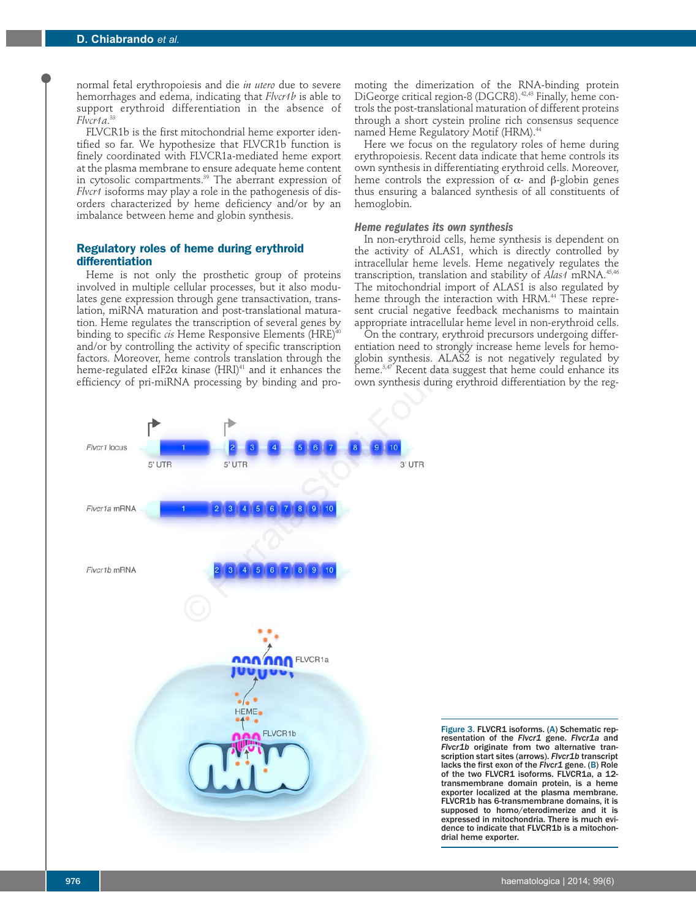normal fetal erythropoiesis and die *in utero* due to severe hemorrhages and edema, indicating that *Flvcr1b* is able to support erythroid differentiation in the absence of *Flvcr1a*. 33

FLVCR1b is the first mitochondrial heme exporter identified so far. We hypothesize that FLVCR1b function is finely coordinated with FLVCR1a-mediated heme export at the plasma membrane to ensure adequate heme content in cytosolic compartments.39 The aberrant expression of *Flvcr1* isoforms may play a role in the pathogenesis of disorders characterized by heme deficiency and/or by an imbalance between heme and globin synthesis.

# **Regulatory roles of heme during erythroid differentiation**

Heme is not only the prosthetic group of proteins involved in multiple cellular processes, but it also modulates gene expression through gene transactivation, translation, miRNA maturation and post-translational maturation. Heme regulates the transcription of several genes by binding to specific *cis* Heme Responsive Elements (HRE)<sup>40</sup> and/or by controlling the activity of specific transcription factors. Moreover, heme controls translation through the heme-regulated eIF2 $\alpha$  kinase (HRI)<sup>41</sup> and it enhances the efficiency of pri-miRNA processing by binding and promoting the dimerization of the RNA-binding protein DiGeorge critical region-8 (DGCR8).<sup>42,43</sup> Finally, heme controls the post-translational maturation of different proteins through a short cystein proline rich consensus sequence named Heme Regulatory Motif (HRM).<sup>44</sup>

Here we focus on the regulatory roles of heme during erythropoiesis. Recent data indicate that heme controls its own synthesis in differentiating erythroid cells. Moreover, heme controls the expression of  $\alpha$ - and β-globin genes thus ensuring a balanced synthesis of all constituents of hemoglobin.

# *Heme regulates its own synthesis*

In non-erythroid cells, heme synthesis is dependent on the activity of ALAS1, which is directly controlled by intracellular heme levels. Heme negatively regulates the transcription, translation and stability of *Alas1* mRNA.45,46 The mitochondrial import of ALAS1 is also regulated by heme through the interaction with HRM.<sup>44</sup> These represent crucial negative feedback mechanisms to maintain appropriate intracellular heme level in non-erythroid cells.

On the contrary, erythroid precursors undergoing differentiation need to strongly increase heme levels for hemoglobin synthesis. ALAS2 is not negatively regulated by heme. $3,47$  Recent data suggest that heme could enhance its own synthesis during erythroid differentiation by the reg-



Figure 3. FLVCR1 isoforms. (A) Schematic representation of the *Flvcr1* gene. *Flvcr1a* and *Flvcr1b* originate from two alternative transcription start sites (arrows). *Flvcr1b* transcript lacks the first exon of the *Flvcr1* gene. (B) Role of the two FLVCR1 isoforms. FLVCR1a, a 12transmembrane domain protein, is a heme exporter localized at the plasma membrane. FLVCR1b has 6-transmembrane domains, it is supposed to homo/eterodimerize and it is expressed in mitochondria. There is much evidence to indicate that FLVCR1b is a mitochondrial heme exporter.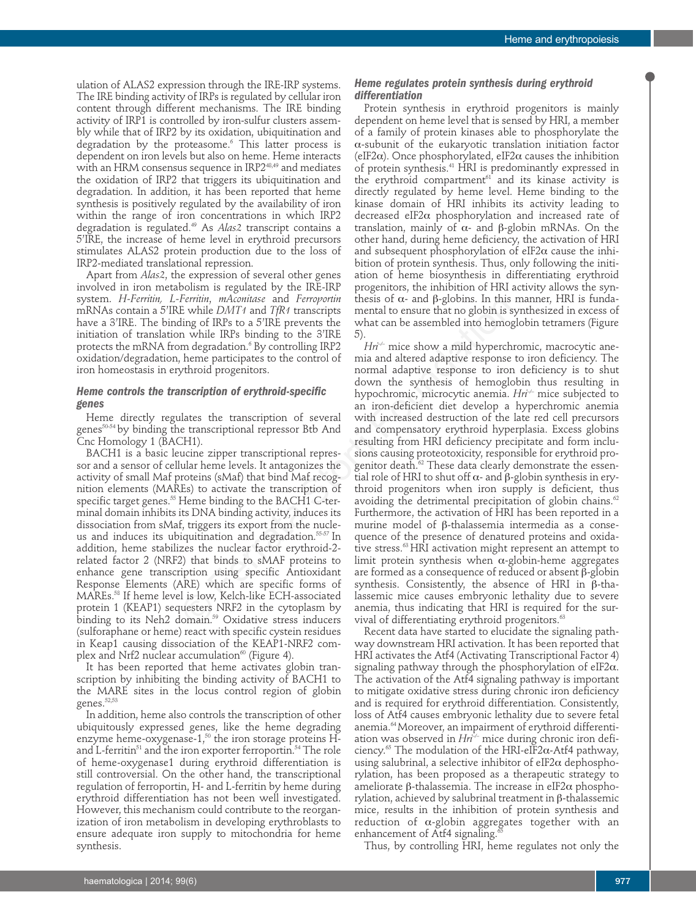ulation of ALAS2 expression through the IRE-IRP systems. The IRE binding activity of IRPs is regulated by cellular iron content through different mechanisms. The IRE binding activity of IRP1 is controlled by iron-sulfur clusters assembly while that of IRP2 by its oxidation, ubiquitination and degradation by the proteasome.<sup>6</sup> This latter process is dependent on iron levels but also on heme. Heme interacts with an HRM consensus sequence in IRP2<sup>48,49</sup> and mediates the oxidation of IRP2 that triggers its ubiquitination and degradation. In addition, it has been reported that heme synthesis is positively regulated by the availability of iron within the range of iron concentrations in which IRP2 degradation is regulated.49 As *Alas2* transcript contains a 5'IRE, the increase of heme level in erythroid precursors stimulates ALAS2 protein production due to the loss of IRP2-mediated translational repression.

Apart from *Alas2*, the expression of several other genes involved in iron metabolism is regulated by the IRE-IRP system. *H-Ferritin, L-Ferritin*, *mAconitase* and *Ferroportin* mRNAs contain a 5'IRE while *DMT1* and *TfR1* transcripts have a 3'IRE. The binding of IRPs to a 5'IRE prevents the initiation of translation while IRPs binding to the 3'IRE protects the mRNA from degradation.<sup>6</sup> By controlling IRP2 oxidation/degradation, heme participates to the control of iron homeostasis in erythroid progenitors.

# *Heme controls the transcription of erythroid-specific genes*

Heme directly regulates the transcription of several genes<sup>50-54</sup> by binding the transcriptional repressor Btb And Cnc Homology 1 (BACH1).

BACH1 is a basic leucine zipper transcriptional repressor and a sensor of cellular heme levels. It antagonizes the activity of small Maf proteins (sMaf) that bind Maf recognition elements (MAREs) to activate the transcription of specific target genes.<sup>55</sup> Heme binding to the BACH1 C-terminal domain inhibits its DNA binding activity, induces its dissociation from sMaf, triggers its export from the nucleus and induces its ubiquitination and degradation.<sup>55-57</sup> In addition, heme stabilizes the nuclear factor erythroid-2 related factor 2 (NRF2) that binds to sMAF proteins to enhance gene transcription using specific Antioxidant Response Elements (ARE) which are specific forms of MAREs.58 If heme level is low, Kelch-like ECH-associated protein 1 (KEAP1) sequesters NRF2 in the cytoplasm by binding to its Neh2 domain.<sup>59</sup> Oxidative stress inducers (sulforaphane or heme) react with specific cystein residues in Keap1 causing dissociation of the KEAP1-NRF2 complex and Nrf2 nuclear accumulation $60$  (Figure 4).

It has been reported that heme activates globin transcription by inhibiting the binding activity of BACH1 to the MARE sites in the locus control region of globin genes.<sup>52,53</sup>

In addition, heme also controls the transcription of other ubiquitously expressed genes, like the heme degrading enzyme heme-oxygenase-1, $50$  the iron storage proteins Hand L-ferritin<sup>51</sup> and the iron exporter ferroportin.<sup>54</sup> The role of heme-oxygenase1 during erythroid differentiation is still controversial. On the other hand, the transcriptional regulation of ferroportin, H- and L-ferritin by heme during erythroid differentiation has not been well investigated. However, this mechanism could contribute to the reorganization of iron metabolism in developing erythroblasts to ensure adequate iron supply to mitochondria for heme synthesis.

# *Heme regulates protein synthesis during erythroid differentiation*

Protein synthesis in erythroid progenitors is mainly dependent on heme level that is sensed by HRI, a member of a family of protein kinases able to phosphorylate the α-subunit of the eukaryotic translation initiation factor (eIF2α). Once phosphorylated, eIF2α causes the inhibition of protein synthesis.<sup>41</sup> HRI is predominantly expressed in the erythroid compartment<sup>61</sup> and its kinase activity is directly regulated by heme level. Heme binding to the kinase domain of HRI inhibits its activity leading to decreased eIF2α phosphorylation and increased rate of translation, mainly of  $\alpha$ - and β-globin mRNAs. On the other hand, during heme deficiency, the activation of HRI and subsequent phosphorylation of eIF2 $\alpha$  cause the inhibition of protein synthesis. Thus, only following the initiation of heme biosynthesis in differentiating erythroid progenitors, the inhibition of HRI activity allows the synthesis of  $\alpha$ - and β-globins. In this manner, HRI is fundamental to ensure that no globin is synthesized in excess of what can be assembled into hemoglobin tetramers (Figure 5).

*Hri*<sup> $\div$ </sup> mice show a mild hyperchromic, macrocytic anemia and altered adaptive response to iron deficiency. The normal adaptive response to iron deficiency is to shut down the synthesis of hemoglobin thus resulting in hypochromic, microcytic anemia. *Hri*<sup>--</sup> mice subjected to an iron-deficient diet develop a hyperchromic anemia with increased destruction of the late red cell precursors and compensatory erythroid hyperplasia. Excess globins resulting from HRI deficiency precipitate and form inclusions causing proteotoxicity, responsible for erythroid progenitor death.<sup>62</sup> These data clearly demonstrate the essential role of HRI to shut off  $\alpha$ - and β-globin synthesis in erythroid progenitors when iron supply is deficient, thus avoiding the detrimental precipitation of globin chains.<sup>62</sup> Furthermore, the activation of HRI has been reported in a murine model of  $\beta$ -thalassemia intermedia as a consequence of the presence of denatured proteins and oxidative stress.<sup>63</sup> HRI activation might represent an attempt to limit protein synthesis when  $\alpha$ -globin-heme aggregates are formed as a consequence of reduced or absent  $\beta$ -globin synthesis. Consistently, the absence of HRI in  $\beta$ -thalassemic mice causes embryonic lethality due to severe anemia, thus indicating that HRI is required for the survival of differentiating erythroid progenitors.<sup>63</sup> Ferratin, *mAcoutase* and *Ferropoini* thens of  $\alpha$ - and *P*<sub>E</sub>poons. In this ting of IRPs to a 5TRE prevents the what can be assembled into hemography in the IRPs binding to the 3TRE prevents the what can be assembled i

Recent data have started to elucidate the signaling pathway downstream HRI activation. It has been reported that HRI activates the Atf4 (Activating Transcriptional Factor 4) signaling pathway through the phosphorylation of eIF2 $\alpha$ . The activation of the Atf4 signaling pathway is important to mitigate oxidative stress during chronic iron deficiency and is required for erythroid differentiation. Consistently, loss of Atf4 causes embryonic lethality due to severe fetal anemia.64 Moreover, an impairment of erythroid differentiation was observed in *Hri<sup>* $\div$ *</sup>* mice during chronic iron deficiency.<sup>65</sup> The modulation of the HRI-eIF2 $\alpha$ -Atf4 pathway, using salubrinal, a selective inhibitor of eIF2 $\alpha$  dephosphorylation, has been proposed as a therapeutic strategy to ameliorate  $\beta$ -thalassemia. The increase in eIF2 $\alpha$  phosphorylation, achieved by salubrinal treatment in  $\beta$ -thalassemic mice, results in the inhibition of protein synthesis and reduction of  $\alpha$ -globin aggregates together with an enhancement of Atf4 signaling.

Thus, by controlling HRI, heme regulates not only the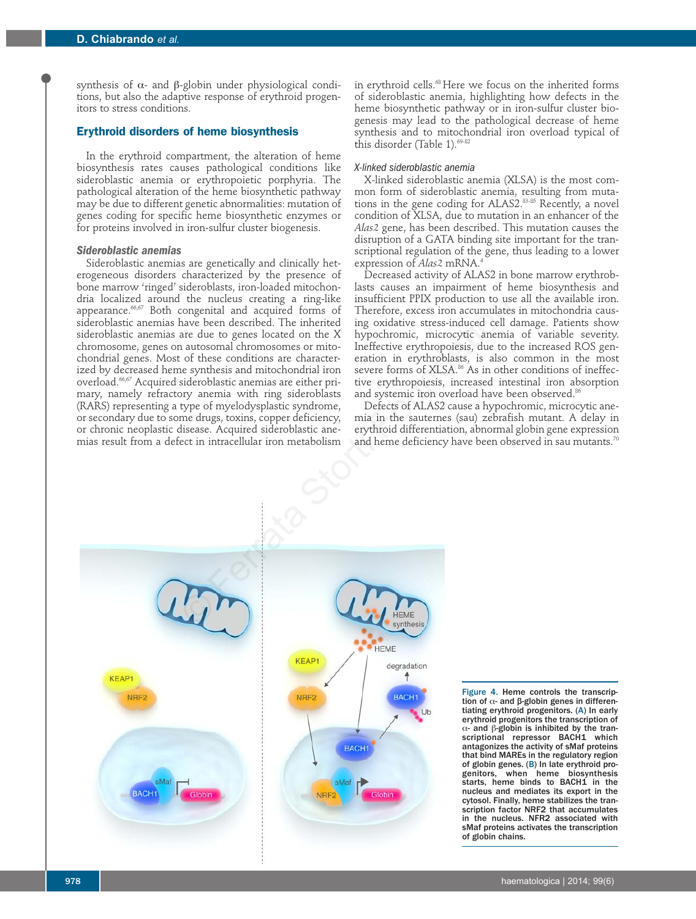synthesis of  $\alpha$ - and β-globin under physiological conditions, but also the adaptive response of erythroid progenitors to stress conditions.

# **Erythroid disorders of heme biosynthesis**

In the erythroid compartment, the alteration of heme biosynthesis rates causes pathological conditions like sideroblastic anemia or erythropoietic porphyria. The pathological alteration of the heme biosynthetic pathway may be due to different genetic abnormalities: mutation of genes coding for specific heme biosynthetic enzymes or for proteins involved in iron-sulfur cluster biogenesis.

# *Sideroblastic anemias*

Sideroblastic anemias are genetically and clinically heterogeneous disorders characterized by the presence of bone marrow 'ringed' sideroblasts, iron-loaded mitochondria localized around the nucleus creating a ring-like appearance.<sup>66,67</sup> Both congenital and acquired forms of sideroblastic anemias have been described. The inherited sideroblastic anemias are due to genes located on the X chromosome, genes on autosomal chromosomes or mitochondrial genes. Most of these conditions are characterized by decreased heme synthesis and mitochondrial iron overload.66,67 Acquired sideroblastic anemias are either primary, namely refractory anemia with ring sideroblasts (RARS) representing a type of myelodysplastic syndrome, or secondary due to some drugs, toxins, copper deficiency, or chronic neoplastic disease. Acquired sideroblastic anemias result from a defect in intracellular iron metabolism

in erythroid cells.68 Here we focus on the inherited forms of sideroblastic anemia, highlighting how defects in the heme biosynthetic pathway or in iron-sulfur cluster biogenesis may lead to the pathological decrease of heme synthesis and to mitochondrial iron overload typical of this disorder (Table 1). $69-82$ 

#### *X-linked sideroblastic anemia*

X-linked sideroblastic anemia (XLSA) is the most common form of sideroblastic anemia, resulting from mutations in the gene coding for ALAS2.83-85 Recently, a novel condition of XLSA, due to mutation in an enhancer of the *Alas2* gene, has been described. This mutation causes the disruption of a GATA binding site important for the transcriptional regulation of the gene, thus leading to a lower expression of *Alas2* mRNA.<sup>4</sup>

Decreased activity of ALAS2 in bone marrow erythroblasts causes an impairment of heme biosynthesis and insufficient PPIX production to use all the available iron. Therefore, excess iron accumulates in mitochondria causing oxidative stress-induced cell damage. Patients show hypochromic, microcytic anemia of variable severity. Ineffective erythropoiesis, due to the increased ROS generation in erythroblasts, is also common in the most severe forms of XLSA.<sup>86</sup> As in other conditions of ineffective erythropoiesis, increased intestinal iron absorption and systemic iron overload have been observed.<sup>86</sup>

Defects of ALAS2 cause a hypochromic, microcytic anemia in the sauternes (sau) zebrafish mutant. A delay in erythroid differentiation, abnormal globin gene expression and heme deficiency have been observed in sau mutants.<sup>70</sup>



Figure 4. Heme controls the transcription of  $α$ - and  $β$ -globin genes in differentiating erythroid progenitors. (A) In early erythroid progenitors the transcription of  $α$ - and  $β$ -globin is inhibited by the transcriptional repressor BACH1 which antagonizes the activity of sMaf proteins that bind MAREs in the regulatory region of globin genes. (B) In late erythroid progenitors, when heme biosynthesis starts, heme binds to BACH1 in the nucleus and mediates its export in the cytosol. Finally, heme stabilizes the transcription factor NRF2 that accumulates in the nucleus. NFR2 associated with sMaf proteins activates the transcription of globin chains.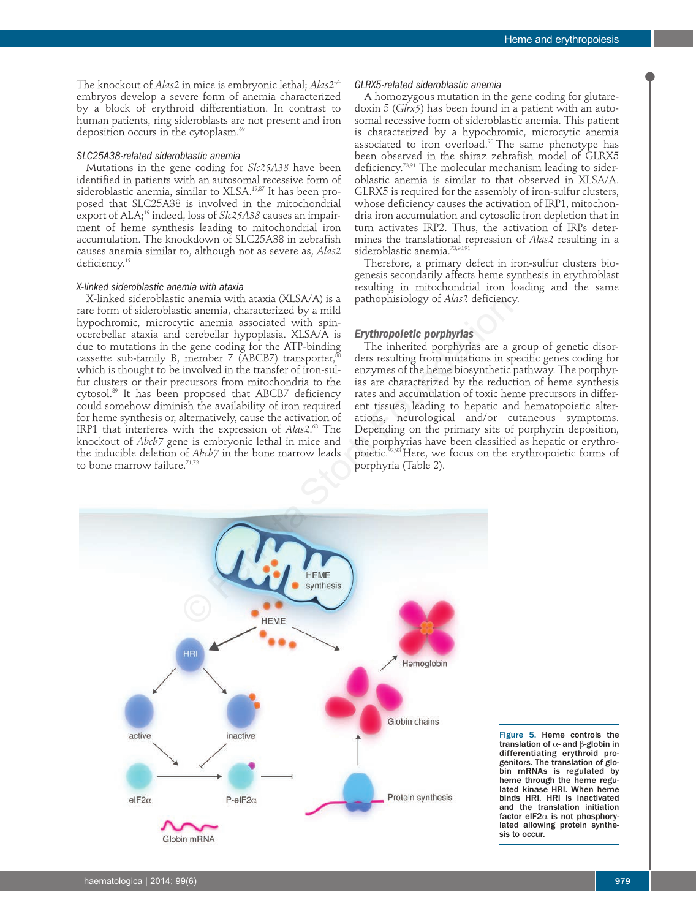The knockout of *Alas2* in mice is embryonic lethal; *Alas2–/–* embryos develop a severe form of anemia characterized by a block of erythroid differentiation. In contrast to human patients, ring sideroblasts are not present and iron deposition occurs in the cytoplasm.<sup>69</sup>

# *SLC25A38-related sideroblastic anemia*

Mutations in the gene coding for *Slc25A38* have been identified in patients with an autosomal recessive form of sideroblastic anemia, similar to XLSA.<sup>19,87</sup> It has been proposed that SLC25A38 is involved in the mitochondrial export of ALA;<sup>19</sup> indeed, loss of *Slc25A38* causes an impairment of heme synthesis leading to mitochondrial iron accumulation. The knockdown of SLC25A38 in zebrafish causes anemia similar to, although not as severe as, *Alas2* deficiency.19

# *X-linked sideroblastic anemia with ataxia*

X-linked sideroblastic anemia with ataxia (XLSA/A) is a rare form of sideroblastic anemia, characterized by a mild hypochromic, microcytic anemia associated with spinocerebellar ataxia and cerebellar hypoplasia. XLSA/A is due to mutations in the gene coding for the ATP-binding cassette sub-family B, member 7 (ABCB7) transporter, $88$ which is thought to be involved in the transfer of iron-sulfur clusters or their precursors from mitochondria to the cytosol.89 It has been proposed that ABCB7 deficiency could somehow diminish the availability of iron required for heme synthesis or, alternatively, cause the activation of IRP1 that interferes with the expression of *Alas2*. <sup>68</sup> The knockout of *Abcb7* gene is embryonic lethal in mice and the inducible deletion of *Abcb7* in the bone marrow leads to bone marrow failure.<sup>71,72</sup>

#### *GLRX5-related sideroblastic anemia*

A homozygous mutation in the gene coding for glutaredoxin 5 (*Glrx5*) has been found in a patient with an autosomal recessive form of sideroblastic anemia. This patient is characterized by a hypochromic, microcytic anemia associated to iron overload.<sup>90</sup> The same phenotype has been observed in the shiraz zebrafish model of GLRX5 deficiency.<sup>73,91</sup> The molecular mechanism leading to sideroblastic anemia is similar to that observed in XLSA/A. GLRX5 is required for the assembly of iron-sulfur clusters, whose deficiency causes the activation of IRP1, mitochondria iron accumulation and cytosolic iron depletion that in turn activates IRP2. Thus, the activation of IRPs determines the translational repression of *Alas2* resulting in a sideroblastic anemia.<sup>73,90,91</sup>

Therefore, a primary defect in iron-sulfur clusters biogenesis secondarily affects heme synthesis in erythroblast resulting in mitochondrial iron loading and the same pathophisiology of *Alas2* deficiency.

# *Erythropoietic porphyrias*

The inherited porphyrias are a group of genetic disorders resulting from mutations in specific genes coding for enzymes of the heme biosynthetic pathway. The porphyrias are characterized by the reduction of heme synthesis rates and accumulation of toxic heme precursors in different tissues, leading to hepatic and hematopoietic alterations, neurological and/or cutaneous symptoms. Depending on the primary site of porphyrin deposition, the porphyrias have been classified as hepatic or erythropoietic.<sup>32,93</sup> Here, we focus on the erythropoietic forms of porphyria (Table 2).



Figure 5. Heme controls the translation of  $α$ - and  $β$ -globin in differentiating erythroid progenitors. The translation of globin mRNAs is regulated by heme through the heme regulated kinase HRI. When heme binds HRI, HRI is inactivated and the translation initiation factor eIF2α is not phosphorylated allowing protein synthesis to occur.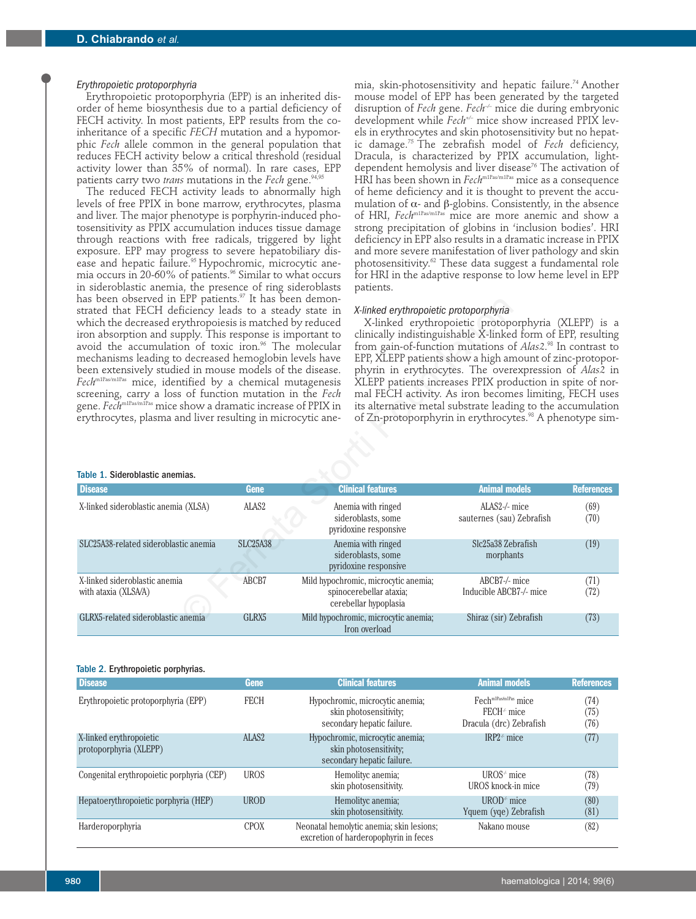### *Erythropoietic protoporphyria*

Erythropoietic protoporphyria (EPP) is an inherited disorder of heme biosynthesis due to a partial deficiency of FECH activity. In most patients, EPP results from the coinheritance of a specific *FECH* mutation and a hypomorphic *Fech* allele common in the general population that reduces FECH activity below a critical threshold (residual activity lower than 35% of normal). In rare cases, EPP patients carry two *trans* mutations in the *Fech* gene.<sup>94,95</sup>

The reduced FECH activity leads to abnormally high levels of free PPIX in bone marrow, erythrocytes, plasma and liver. The major phenotype is porphyrin-induced photosensitivity as PPIX accumulation induces tissue damage through reactions with free radicals, triggered by light exposure. EPP may progress to severe hepatobiliary disease and hepatic failure.<sup>95</sup> Hypochromic, microcytic anemia occurs in 20-60% of patients.<sup>96</sup> Similar to what occurs in sideroblastic anemia, the presence of ring sideroblasts has been observed in EPP patients.<sup>97</sup> It has been demonstrated that FECH deficiency leads to a steady state in which the decreased erythropoiesis is matched by reduced iron absorption and supply. This response is important to avoid the accumulation of toxic iron.<sup>96</sup> The molecular mechanisms leading to decreased hemoglobin levels have been extensively studied in mouse models of the disease. *Fech*m1Pas/m1Pas mice, identified by a chemical mutagenesis screening, carry a loss of function mutation in the *Fech* gene. *Fech<sup>m1Pas/m1Pas</sup>* mice show a dramatic increase of PPIX in erythrocytes, plasma and liver resulting in microcytic ane-

## Table 1. Sideroblastic anemias.

| mia, skin-photosensitivity and hepatic failure. <sup>74</sup> Another          |
|--------------------------------------------------------------------------------|
| mouse model of EPP has been generated by the targeted                          |
| disruption of Fech gene. Fech <sup>-/-</sup> mice die during embryonic         |
| development while Fech <sup>+/-</sup> mice show increased PPIX lev-            |
| els in erythrocytes and skin photosensitivity but no hepat-                    |
| ic damage. <sup>75</sup> The zebrafish model of Fech deficiency,               |
| Dracula, is characterized by PPIX accumulation, light-                         |
| dependent hemolysis and liver disease <sup>76</sup> The activation of          |
| HRI has been shown in $\text{Fech}^{\text{m1Pas/m1Pas}}$ mice as a consequence |
| of heme deficiency and it is thought to prevent the accu-                      |
| mulation of $\alpha$ - and $\beta$ -globins. Consistently, in the absence      |
| of HRI, Fech <sup>m1Pas/m1Pas</sup> mice are more anemic and show a            |
| strong precipitation of globins in 'inclusion bodies'. HRI                     |
| deficiency in EPP also results in a dramatic increase in PPIX                  |
| and more severe manifestation of liver pathology and skin                      |
| photosensitivity. <sup>62</sup> These data suggest a fundamental role          |
| for HRI in the adaptive response to low heme level in EPP                      |
| patients.                                                                      |

#### *X-linked erythropoietic protoporphyria*

| has been observed in EPP patients." It has been demon-<br>strated that FECH deficiency leads to a steady state in<br>which the decreased erythropoiesis is matched by reduced<br>iron absorption and supply. This response is important to<br>avoid the accumulation of toxic iron. <sup>96</sup> The molecular<br>mechanisms leading to decreased hemoglobin levels have<br>been extensively studied in mouse models of the disease.<br>Fech <sup>m1Pas/m1Pas</sup> mice, identified by a chemical mutagenesis<br>screening, carry a loss of function mutation in the Fech<br>gene. Fech <sup>m1Pas/miPas</sup> mice show a dramatic increase of PPIX in<br>erythrocytes, plasma and liver resulting in microcytic ane-<br>Table 1. Sideroblastic anemias. |                   | X-linked erythropoietic protoporphyria<br>X-linked erythropoietic protoporphyria (XLEPP) is a<br>clinically indistinguishable X-linked form of EPP, resulting<br>from gain-of-function mutations of Alas2. <sup>98</sup> In contrast to<br>EPP, XLEPP patients show a high amount of zinc-protopor-<br>phyrin in erythrocytes. The overexpression of Alas2 in<br>XLEPP patients increases PPIX production in spite of nor-<br>mal FECH activity. As iron becomes limiting, FECH uses<br>its alternative metal substrate leading to the accumulation<br>of Zn-protoporphyrin in erythrocytes. <sup>98</sup> A phenotype sim- |                                            |                   |
|-------------------------------------------------------------------------------------------------------------------------------------------------------------------------------------------------------------------------------------------------------------------------------------------------------------------------------------------------------------------------------------------------------------------------------------------------------------------------------------------------------------------------------------------------------------------------------------------------------------------------------------------------------------------------------------------------------------------------------------------------------------|-------------------|-----------------------------------------------------------------------------------------------------------------------------------------------------------------------------------------------------------------------------------------------------------------------------------------------------------------------------------------------------------------------------------------------------------------------------------------------------------------------------------------------------------------------------------------------------------------------------------------------------------------------------|--------------------------------------------|-------------------|
| <b>Disease</b>                                                                                                                                                                                                                                                                                                                                                                                                                                                                                                                                                                                                                                                                                                                                              | Gene              | <b>Clinical features</b>                                                                                                                                                                                                                                                                                                                                                                                                                                                                                                                                                                                                    | <b>Animal models</b>                       | <b>References</b> |
| X-linked sideroblastic anemia (XLSA)                                                                                                                                                                                                                                                                                                                                                                                                                                                                                                                                                                                                                                                                                                                        | ALAS <sub>2</sub> | Anemia with ringed<br>sideroblasts, some<br>pyridoxine responsive                                                                                                                                                                                                                                                                                                                                                                                                                                                                                                                                                           | ALAS2-/- mice<br>sauternes (sau) Zebrafish | (69)<br>(70)      |
| SLC25A38-related sideroblastic anemia                                                                                                                                                                                                                                                                                                                                                                                                                                                                                                                                                                                                                                                                                                                       | <b>SLC25A38</b>   | Anemia with ringed<br>sideroblasts, some<br>pyridoxine responsive                                                                                                                                                                                                                                                                                                                                                                                                                                                                                                                                                           | Slc25a38 Zebrafish<br>morphants            | (19)              |
| X-linked sideroblastic anemia<br>with ataxia (XLSA/A)                                                                                                                                                                                                                                                                                                                                                                                                                                                                                                                                                                                                                                                                                                       | ABCB7             | Mild hypochromic, microcytic anemia;<br>spinocerebellar ataxia;<br>cerebellar hypoplasia                                                                                                                                                                                                                                                                                                                                                                                                                                                                                                                                    | ABCB7-/- mice<br>Inducible ABCB7-/- mice   | (71)<br>(72)      |
| GLRX5-related sideroblastic anemia                                                                                                                                                                                                                                                                                                                                                                                                                                                                                                                                                                                                                                                                                                                          | GLRX <sub>5</sub> | Mild hypochromic, microcytic anemia;<br>Iron overload                                                                                                                                                                                                                                                                                                                                                                                                                                                                                                                                                                       | Shiraz (sir) Zebrafish                     | (73)              |

#### Table 2. Erythropoietic porphyrias.

| <b>Disease</b>                                    | Gene              | <b>Clinical features</b>                                                                | <b>Animal models</b>                                                        | <b>References</b>    |
|---------------------------------------------------|-------------------|-----------------------------------------------------------------------------------------|-----------------------------------------------------------------------------|----------------------|
| Erythropoietic protoporphyria (EPP)               | <b>FECH</b>       | Hypochromic, microcytic anemia;<br>skin photosensitivity;<br>secondary hepatic failure. | Fech <sup>m1Pas/m1Pas</sup> mice<br>$FECH+ mice$<br>Dracula (drc) Zebrafish | (74)<br>(75)<br>(76) |
| X-linked erythropoietic<br>protoporphyria (XLEPP) | ALAS <sub>2</sub> | Hypochromic, microcytic anemia;<br>skin photosensitivity;<br>secondary hepatic failure. | IRP2 $\pm$ mice                                                             | (77)                 |
| Congenital erythropoietic porphyria (CEP)         | <b>UROS</b>       | Hemolityc anemia;<br>skin photosensitivity.                                             | $UROS^+$ mice<br>UROS knock-in mice                                         | (78)<br>(79)         |
| Hepatoerythropoietic porphyria (HEP)              | <b>UROD</b>       | Hemolityc anemia;<br>skin photosensitivity.                                             | $UROD^+$ mice<br>Yquem (yge) Zebrafish                                      | (80)<br>(81)         |
| Harderoporphyria                                  | <b>CPOX</b>       | Neonatal hemolytic anemia; skin lesions;<br>excretion of harderopophyrin in feces       | Nakano mouse                                                                | (82)                 |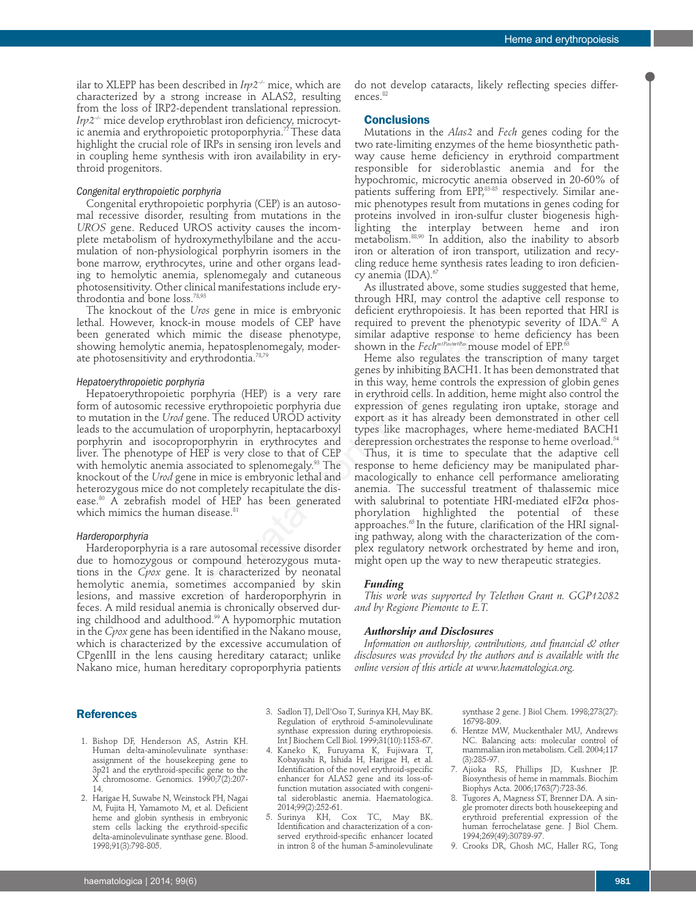ilar to XLEPP has been described in *Irp2–/–* mice, which are characterized by a strong increase in ALAS2, resulting from the loss of IRP2-dependent translational repression. *Irp2<sup>+</sup>* mice develop erythroblast iron deficiency, microcytic anemia and erythropoietic protoporphyria.<sup>77</sup> These data highlight the crucial role of IRPs in sensing iron levels and in coupling heme synthesis with iron availability in erythroid progenitors.

# *Congenital erythropoietic porphyria*

Congenital erythropoietic porphyria (CEP) is an autosomal recessive disorder, resulting from mutations in the *UROS* gene. Reduced UROS activity causes the incomplete metabolism of hydroxymethylbilane and the accumulation of non-physiological porphyrin isomers in the bone marrow, erythrocytes, urine and other organs leading to hemolytic anemia, splenomegaly and cutaneous photosensitivity. Other clinical manifestations include erythrodontia and bone loss.78,93

The knockout of the *Uros* gene in mice is embryonic lethal. However, knock-in mouse models of CEP have been generated which mimic the disease phenotype, showing hemolytic anemia, hepatosplenomegaly, moderate photosensitivity and erythrodontia.78,79

#### *Hepatoerythropoietic porphyria*

Hepatoerythropoietic porphyria (HEP) is a very rare form of autosomic recessive erythropoietic porphyria due to mutation in the *Urod* gene. The reduced UROD activity leads to the accumulation of uroporphyrin, heptacarboxyl porphyrin and isocoproporphyrin in erythrocytes and liver. The phenotype of HEP is very close to that of CEP with hemolytic anemia associated to splenomegaly.<sup>93</sup> The knockout of the *Urod* gene in mice is embryonic lethal and heterozygous mice do not completely recapitulate the disease.80 A zebrafish model of HEP has been generated which mimics the human disease.<sup>81</sup> Soss.<sup>37</sup> The transportant in the discussion that the discussion that the discussion of the minic the discusse phenotype High hminic the discusse phenotype, similar adaptive response to hem heminic the discusse phenotype,

### *Harderoporphyria*

Harderoporphyria is a rare autosomal recessive disorder due to homozygous or compound heterozygous mutations in the *Cpox* gene. It is characterized by neonatal hemolytic anemia, sometimes accompanied by skin lesions, and massive excretion of harderoporphyrin in feces. A mild residual anemia is chronically observed during childhood and adulthood.<sup>99</sup> A hypomorphic mutation in the *Cpox* gene has been identified in the Nakano mouse, which is characterized by the excessive accumulation of CPgenIII in the lens causing hereditary cataract; unlike Nakano mice, human hereditary coproporphyria patients

do not develop cataracts, likely reflecting species differences.<sup>82</sup>

# **Conclusions**

Mutations in the *Alas2* and *Fech* genes coding for the two rate-limiting enzymes of the heme biosynthetic pathway cause heme deficiency in erythroid compartment responsible for sideroblastic anemia and for the hypochromic, microcytic anemia observed in 20-60% of patients suffering from EPP, $83-85$  respectively. Similar anemic phenotypes result from mutations in genes coding for proteins involved in iron-sulfur cluster biogenesis highlighting the interplay between heme and iron metabolism.88,90 In addition, also the inability to absorb iron or alteration of iron transport, utilization and recycling reduce heme synthesis rates leading to iron deficiency anemia (IDA).<sup>6</sup>

As illustrated above, some studies suggested that heme, through HRI, may control the adaptive cell response to deficient erythropoiesis. It has been reported that HRI is required to prevent the phenotypic severity of IDA.<sup>62</sup> A similar adaptive response to heme deficiency has been shown in the *Fech<sup>m1Pas/m1Pas*</sup> mouse model of EPP.<sup>63</sup>

Heme also regulates the transcription of many target genes by inhibiting BACH1. It has been demonstrated that in this way, heme controls the expression of globin genes in erythroid cells. In addition, heme might also control the expression of genes regulating iron uptake, storage and export as it has already been demonstrated in other cell types like macrophages, where heme-mediated BACH1 derepression orchestrates the response to heme overload.<sup>54</sup>

Thus, it is time to speculate that the adaptive cell response to heme deficiency may be manipulated pharmacologically to enhance cell performance ameliorating anemia. The successful treatment of thalassemic mice with salubrinal to potentiate HRI-mediated eIF2 $\alpha$  phosphorylation highlighted the potential of these approaches.<sup>65</sup> In the future, clarification of the HRI signaling pathway, along with the characterization of the complex regulatory network orchestrated by heme and iron, might open up the way to new therapeutic strategies.

# *Funding*

*This work was supported by Telethon Grant n. GGP12082 and by Regione Piemonte to E.T.*

#### *Authorship and Disclosures*

*Information on authorship, contributions, and financial & other disclosures was provided by the authors and is available with the online version of this article at www.haematologica.org.*

## **References**

- 1. Bishop DF, Henderson AS, Astrin KH. Human delta-aminolevulinate synthase: assignment of the housekeeping gene to 3p21 and the erythroid-specific gene to the X chromosome. Genomics. 1990;7(2):207-14.
- 2. Harigae H, Suwabe N, Weinstock PH, Nagai M, Fujita H, Yamamoto M, et al. Deficient heme and globin synthesis in embryonic stem cells lacking the erythroid-specific delta-aminolevulinate synthase gene. Blood. 1998;91(3):798-805.

3. Sadlon TJ, Dell'Oso T, Surinya KH, May BK. Regulation of erythroid 5-aminolevulinate synthase expression during erythropoiesis. Int J Biochem Cell Biol. 1999;31(10):1153-67.

- 4. Kaneko K, Furuyama K, Fujiwara T, Kobayashi R, Ishida H, Harigae H, et al. Identification of the novel erythroid-specific enhancer for ALAS2 gene and its loss-offunction mutation associated with congenital sideroblastic anemia. Haematologica. 2014;99(2):252-61.
- Surinya KH, Cox TC, May BK. Identification and characterization of a conserved erythroid-specific enhancer located in intron 8 of the human 5-aminolevulinate

synthase 2 gene. J Biol Chem. 1998;273(27): 16798-809.

- 6. Hentze MW, Muckenthaler MU, Andrews NC. Balancing acts: molecular control of mammalian iron metabolism. Cell. 2004;117 (3):285-97.
- 7. Ajioka RS, Phillips JD, Kushner JP. Biosynthesis of heme in mammals. Biochim Biophys Acta. 2006;1763(7):723-36.
- 8. Tugores A, Magness ST, Brenner DA. A single promoter directs both housekeeping and erythroid preferential expression of the human ferrochelatase gene. J Biol Chem. 1994;269(49):30789-97.
- 9. Crooks DR, Ghosh MC, Haller RG, Tong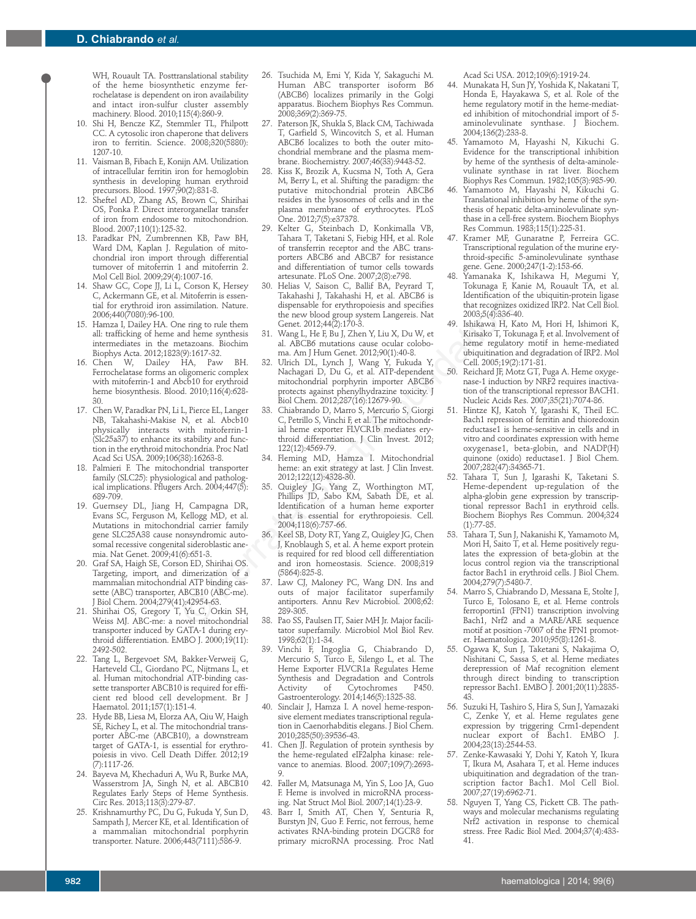WH, Rouault TA. Posttranslational stability of the heme biosynthetic enzyme ferrochelatase is dependent on iron availability and intact iron-sulfur cluster assembly machinery. Blood. 2010;115(4):860-9.

- 10. Shi H, Bencze KZ, Stemmler TL, Philpott CC. A cytosolic iron chaperone that delivers iron to ferritin. Science. 2008;320(5880): 1207-10.
- 11. Vaisman B, Fibach E, Konijn AM. Utilization of intracellular ferritin iron for hemoglobin synthesis in developing human erythroid precursors. Blood. 1997;90(2):831-8.
- 12. Sheftel AD, Zhang AS, Brown C, Shirihai OS, Ponka P. Direct interorganellar transfer of iron from endosome to mitochondrion. Blood. 2007;110(1):125-32.
- 13. Paradkar PN, Zumbrennen KB, Paw BH, Ward DM, Kaplan J. Regulation of mitochondrial iron import through differential turnover of mitoferrin 1 and mitoferrin 2. Mol Cell Biol. 2009;29(4):1007-16.
- 14. Shaw GC, Cope JJ, Li L, Corson K, Hersey C, Ackermann GE, et al. Mitoferrin is essential for erythroid iron assimilation. Nature. 2006;440(7080):96-100.
- 15. Hamza I, Dailey HA. One ring to rule them all: trafficking of heme and heme synthesis intermediates in the metazoans. Biochim Biophys Acta. 2012;1823(9):1617-32.
- 16. Chen W, Dailey HA, Paw BH. Ferrochelatase forms an oligomeric complex with mitoferrin-1 and Abcb10 for erythroid heme biosynthesis. Blood. 2010;116(4):628- 30.
- 17. Chen W, Paradkar PN, Li L, Pierce EL, Langer NB, Takahashi-Makise N, et al. Abcb10 physically interacts with mitoferrin-1 (Slc25a37) to enhance its stability and function in the erythroid mitochondria. Proc Natl Acad Sci USA. 2009;106(38):16263-8.
- 18. Palmieri F. The mitochondrial transporter family (SLC25): physiological and pathological implications. Pflugers Arch. 2004;447(5): 689-709.
- 19. Guernsey DL, Jiang H, Campagna DR, Evans SC, Ferguson M, Kellogg MD, et al. Mutations in mitochondrial carrier family gene SLC25A38 cause nonsyndromic autosomal recessive congenital sideroblastic anemia. Nat Genet. 2009;41(6):651-3.
- 20. Graf SA, Haigh SE, Corson ED, Shirihai OS. Targeting, import, and dimerization of a mammalian mitochondrial ATP binding cassette (ABC) transporter, ABCB10 (ABC-me). J Biol Chem. 2004;279(41):42954-63.
- 21. Shirihai OS, Gregory T, Yu C, Orkin SH, Weiss MJ. ABC-me: a novel mitochondrial transporter induced by GATA-1 during erythroid differentiation. EMBO J. 2000;19(11): 2492-502.
- 22. Tang L, Bergevoet SM, Bakker-Verweij G, Harteveld CL, Giordano PC, Nijtmans L, et al. Human mitochondrial ATP-binding cassette transporter ABCB10 is required for efficient red blood cell development. Br J Haematol. 2011;157(1):151-4.
- 23. Hyde BB, Liesa M, Elorza AA, Qiu W, Haigh SE, Richey L, et al. The mitochondrial transporter ABC-me (ABCB10), a downstream target of GATA-1, is essential for erythropoiesis in vivo. Cell Death Differ. 2012;19 (7):1117-26.
- 24. Bayeva M, Khechaduri A, Wu R, Burke MA, Wasserstrom JA, Singh N, et al. ABCB10 Regulates Early Steps of Heme Synthesis. Circ Res. 2013;113(3):279-87.
- 25. Krishnamurthy PC, Du G, Fukuda Y, Sun D, Sampath J, Mercer KE, et al. Identification of a mammalian mitochondrial porphyrin transporter. Nature. 2006;443(7111):586-9.
- 26. Tsuchida M, Emi Y, Kida Y, Sakaguchi M. Human ABC transporter isoform B6 (ABCB6) localizes primarily in the Golgi apparatus. Biochem Biophys Res Commun. 2008;369(2):369-75.
- 27. Paterson JK, Shukla S, Black CM, Tachiwada T, Garfield S, Wincovitch S, et al. Human ABCB6 localizes to both the outer mitochondrial membrane and the plasma membrane. Biochemistry. 2007;46(33):9443-52.
- 28. Kiss K, Brozik A, Kucsma N, Toth A, Gera M, Berry L, et al. Shifting the paradigm: the putative mitochondrial protein ABCB6 resides in the lysosomes of cells and in the plasma membrane of erythrocytes. PLoS One. 2012;7(5):e37378.
- 29. Kelter G, Steinbach D, Konkimalla VB, Tahara T, Taketani S, Fiebig HH, et al. Role of transferrin receptor and the ABC transporters ABCB6 and ABCB7 for resistance and differentiation of tumor cells towards artesunate. PLoS One. 2007;2(8):e798.
- 30. Helias V, Saison C, Ballif BA, Peyrard T, Takahashi J, Takahashi H, et al. ABCB6 is dispensable for erythropoiesis and specifies the new blood group system Langereis. Nat Genet. 2012;44(2):170-3.
- 31. Wang L, He F, Bu J, Zhen Y, Liu X, Du W, et al. ABCB6 mutations cause ocular coloboma. Am J Hum Genet. 2012;90(1):40-8.
- 32. Ulrich DL, Lynch J, Wang Y, Fukuda Y, Nachagari D, Du G, et al. ATP-dependent mitochondrial porphyrin importer ABCB6 protects against phenylhydrazine toxicity. J Biol Chem. 2012;287(16):12679-90. Function Income Theory and the proposition of the proposition of the method of group system langeres). At a simulation Nature, dispensable for exphropoiesis and pecifies that recognize the new block particle in the fit is
	- 33. Chiabrando D, Marro S, Mercurio S, Giorgi C, Petrillo S, Vinchi F, et al. The mitochondrial heme exporter FLVCR1b mediates erythroid differentiation. J Clin Invest. 2012; 122(12):4569-79.
	- 34. Fleming MD, Hamza I. Mitochondrial heme: an exit strategy at last. J Clin Invest. 2012;122(12):4328-30.
	- 35. Quigley JG, Yang Z, Worthington MT, Phillips JD, Sabo KM, Sabath DE, et al. Identification of a human heme exporter that is essential for erythropoiesis. Cell. 2004;118(6):757-66.
	- 36. Keel SB, Doty RT, Yang Z, Quigley JG, Chen J, Knoblaugh S, et al. A heme export protein is required for red blood cell differentiation and iron homeostasis. Science. 2008;319 (5864):825-8.
	- 37. Law CJ, Maloney PC, Wang DN. Ins and outs of major facilitator superfamily antiporters. Annu Rev Microbiol. 2008;62: 289-305.
	- 38. Pao SS, Paulsen IT, Saier MH Jr. Major facilitator superfamily. Microbiol Mol Biol Rev. 1998;62(1):1-34.
	- 39. Vinchi F, Ingoglia G, Chiabrando D, Mercurio S, Turco E, Silengo L, et al. The Heme Exporter FLVCR1a Regulates Heme Synthesis and Degradation and Controls Activity of Cytochromes Gastroenterology. 2014;146(5):1325-38.
	- Sinclair J, Hamza I. A novel heme-responsive element mediates transcriptional regulation in Caenorhabditis elegans. J Biol Chem. 2010;285(50):39536-43.
	- 41. Chen JJ. Regulation of protein synthesis by the heme-regulated eIF2alpha kinase: relevance to anemias. Blood. 2007;109(7):2693- 9.
	- 42. Faller M, Matsunaga M, Yin S, Loo JA, Guo F. Heme is involved in microRNA processing. Nat Struct Mol Biol. 2007;14(1):23-9.
	- 43. Barr I, Smith AT, Chen Y, Senturia R, Burstyn JN, Guo F. Ferric, not ferrous, heme activates RNA-binding protein DGCR8 for primary microRNA processing. Proc Natl

Acad Sci USA. 2012;109(6):1919-24.

- 44. Munakata H, Sun JY, Yoshida K, Nakatani T, Honda E, Hayakawa S, et al. Role of the heme regulatory motif in the heme-mediated inhibition of mitochondrial import of 5 aminolevulinate synthase. J Biochem. 2004;136(2):233-8.
- 45. Yamamoto M, Hayashi N, Kikuchi G. Evidence for the transcriptional inhibition by heme of the synthesis of delta-aminolevulinate synthase in rat liver. Biochem Biophys Res Commun. 1982;105(3):985-90.
- Yamamoto M, Hayashi N, Kikuchi G. Translational inhibition by heme of the synthesis of hepatic delta-aminolevulinate synthase in a cell-free system. Biochem Biophys Res Commun. 1983;115(1):225-31.
- 47. Kramer MF, Gunaratne P, Ferreira GC. Transcriptional regulation of the murine erythroid-specific 5-aminolevulinate synthase gene. Gene. 2000;247(1-2):153-66.
- 48. Yamanaka K, Ishikawa H, Megumi Y, Tokunaga F, Kanie M, Rouault TA, et al. Identification of the ubiquitin-protein ligase that recognizes oxidized IRP2. Nat Cell Biol. 2003;5(4):336-40.
- 49. Ishikawa H, Kato M, Hori H, Ishimori K, Kirisako T, Tokunaga F, et al. Involvement of heme regulatory motif in heme-mediated ubiquitination and degradation of IRP2. Mol Cell. 2005;19(2):171-81.
- 50. Reichard JF, Motz GT, Puga A. Heme oxygenase-1 induction by NRF2 requires inactivation of the transcriptional repressor BACH1. Nucleic Acids Res. 2007;35(21):7074-86.
- Hintze KJ, Katoh Y, Igarashi K, Theil EC. Bach1 repression of ferritin and thioredoxin reductase1 is heme-sensitive in cells and in vitro and coordinates expression with heme oxygenase1, beta-globin, and NADP(H) quinone (oxido) reductase1. J Biol Chem. 2007;282(47):34365-71.
- 52. Tahara T, Sun J, Igarashi K, Taketani S. Heme-dependent up-regulation of the alpha-globin gene expression by transcriptional repressor Bach1 in erythroid cells. Biochem Biophys Res Commun. 2004;324 (1):77-85.
- 53. Tahara T, Sun J, Nakanishi K, Yamamoto M, Mori H, Saito T, et al. Heme positively regulates the expression of beta-globin at the locus control region via the transcriptional factor Bach1 in erythroid cells. J Biol Chem. 2004;279(7):5480-7.
- 54. Marro S, Chiabrando D, Messana E, Stolte J, Turco E, Tolosano E, et al. Heme controls ferroportin1 (FPN1) transcription involving Bach1, Nrf2 and a MARE/ARE sequence motif at position -7007 of the FPN1 promoter. Haematologica. 2010;95(8):1261-8.
- 55. Ogawa K, Sun J, Taketani S, Nakajima O, Nishitani C, Sassa S, et al. Heme mediates derepression of Maf recognition element through direct binding to transcription repressor Bach1. EMBO J. 2001;20(11):2835- 43.
- 56. Suzuki H, Tashiro S, Hira S, Sun J, Yamazaki C, Zenke Y, et al. Heme regulates gene expression by triggering Crm1-dependent nuclear export of Bach1. EMBO J. 2004;23(13):2544-53.
- 57. Zenke-Kawasaki Y, Dohi Y, Katoh Y, Ikura T, Ikura M, Asahara T, et al. Heme induces ubiquitination and degradation of the transcription factor Bach1. Mol Cell Biol. 2007;27(19):6962-71.
- Nguyen T, Yang CS, Pickett CB. The pathways and molecular mechanisms regulating Nrf2 activation in response to chemical stress. Free Radic Biol Med. 2004;37(4):433- 41.